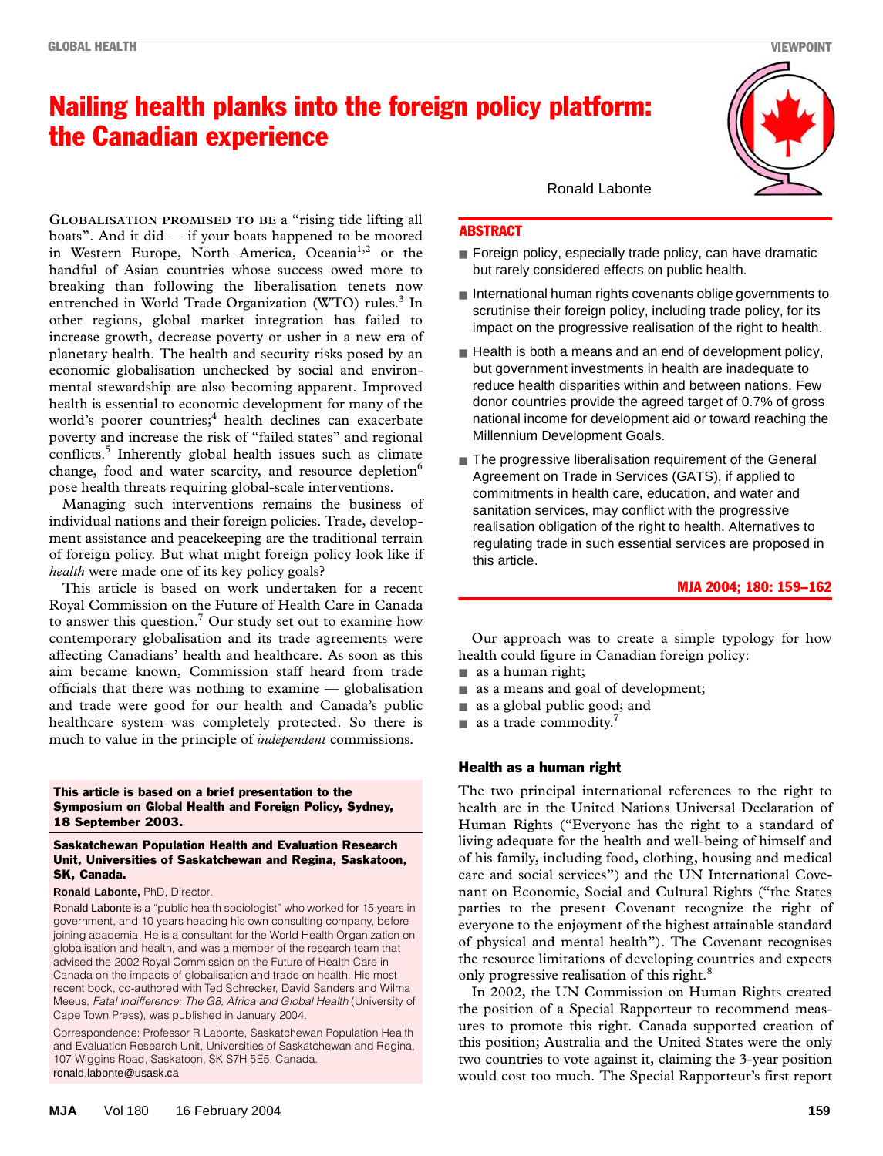## Nailing health planks into the foreign policy platform: the Canadian experience

breaking than following the liberalisation tenets now entrenched in World Trade Organization (WTO) rules.<sup>3</sup> In other regions, global market integration has failed to increase growth, decrease poverty or usher in a new era of **GLOBALISATION PROMISED TO BE** a "rising tide lifting all boats". And it did — if your boats happened to be moored in Western Europe, North America, Oceania<sup>1,2</sup> or the handful of Asian countries whose success owed more to planetary health. The health and security risks posed by an economic globalisation unchecked by social and environmental stewardship are also becoming apparent. Improved health is essential to economic development for many of the world's poorer countries;<sup>4</sup> health declines can exacerbate poverty and increase the risk of "failed states" and regional conflicts.<sup>5</sup> Inherently global health issues such as climate change, food and water scarcity, and resource depletion<sup>6</sup> pose health threats requiring global-scale interventions.

Managing such interventions remains the business of individual nations and their foreign policies. Trade, development assistance and peacekeeping are the traditional terrain of foreign policy. But what might foreign policy look like if *health* were made one of its key policy goals?

This article is based on work undertaken for a recent Royal Commission on the Future of Health Care in Canada to answer this question.<sup>7</sup> Our study set out to examine how contemporary globalisation and its trade agreements were affecting Canadians' health and healthcare. As soon as this aim became known, Commission staff heard from trade officials that there was nothing to examine — globalisation and trade were good for our health and Canada's public healthcare system was completely protected. So there is much to value in the principle of *independent* commissions.

#### This article is based on a brief presentation to the Symposium on Global Health and Foreign Policy, Sydney, 18 September 2003.

#### Saskatchewan Population Health and Evaluation Research Unit, Universities of Saskatchewan and Regina, Saskatoon, SK, Canada.

#### **Ronald Labonte,** PhD, Director.

Ronald Labonte is a "public health sociologist" who worked for 15 years in government, and 10 years heading his own consulting company, before joining academia. He is a consultant for the World Health Organization on globalisation and health, and was a member of the research team that advised the 2002 Royal Commission on the Future of Health Care in Canada on the impacts of globalisation and trade on health. His most recent book, co-authored with Ted Schrecker, David Sanders and Wilma Meeus, *Fatal Indifference: The G8, Africa and Global Health* (University of Cape Town Press), was published in January 2004.

Correspondence: Professor R Labonte, Saskatchewan Population Health and Evaluation Research Unit, Universities of Saskatchewan and Regina, 107 Wiggins Road, Saskatoon, SK S7H 5E5, Canada. ronald.labonte@usask.ca

# Ronald Labonte

## **ABSTRACT**

- Foreign policy, especially trade policy, can have dramatic but rarely considered effects on public health.
- International human rights covenants oblige governments to scrutinise their foreign policy, including trade policy, for its impact on the progressive realisation of the right to health.
- Health is both a means and an end of development policy, but government investments in health are inadequate to reduce health disparities within and between nations. Few donor countries provide the agreed target of 0.7% of gross national income for development aid or toward reaching the Millennium Development Goals.
- The progressive liberalisation requirement of the General Agreement on Trade in Services (GATS), if applied to commitments in health care, education, and water and sanitation services, may conflict with the progressive realisation obligation of the right to health. Alternatives to regulating trade in such essential services are proposed in this article.

#### MJA 2004; 180: 159–162

Our approach was to create a simple typology for how health could figure in Canadian foreign policy:

- as a human right;
- as a means and goal of development;
- as a global public good; and
- $\blacksquare$  as a trade commodity.<sup>7</sup>

#### Health as a human right

The two principal international references to the right to health are in the United Nations Universal Declaration of Human Rights ("Everyone has the right to a standard of living adequate for the health and well-being of himself and of his family, including food, clothing, housing and medical care and social services") and the UN International Covenant on Economic, Social and Cultural Rights ("the States parties to the present Covenant recognize the right of everyone to the enjoyment of the highest attainable standard of physical and mental health"). The Covenant recognises the resource limitations of developing countries and expects only progressive realisation of this right.<sup>8</sup>

In 2002, the UN Commission on Human Rights created the position of a Special Rapporteur to recommend measures to promote this right. Canada supported creation of this position; Australia and the United States were the only two countries to vote against it, claiming the 3-year position would cost too much. The Special Rapporteur's first report

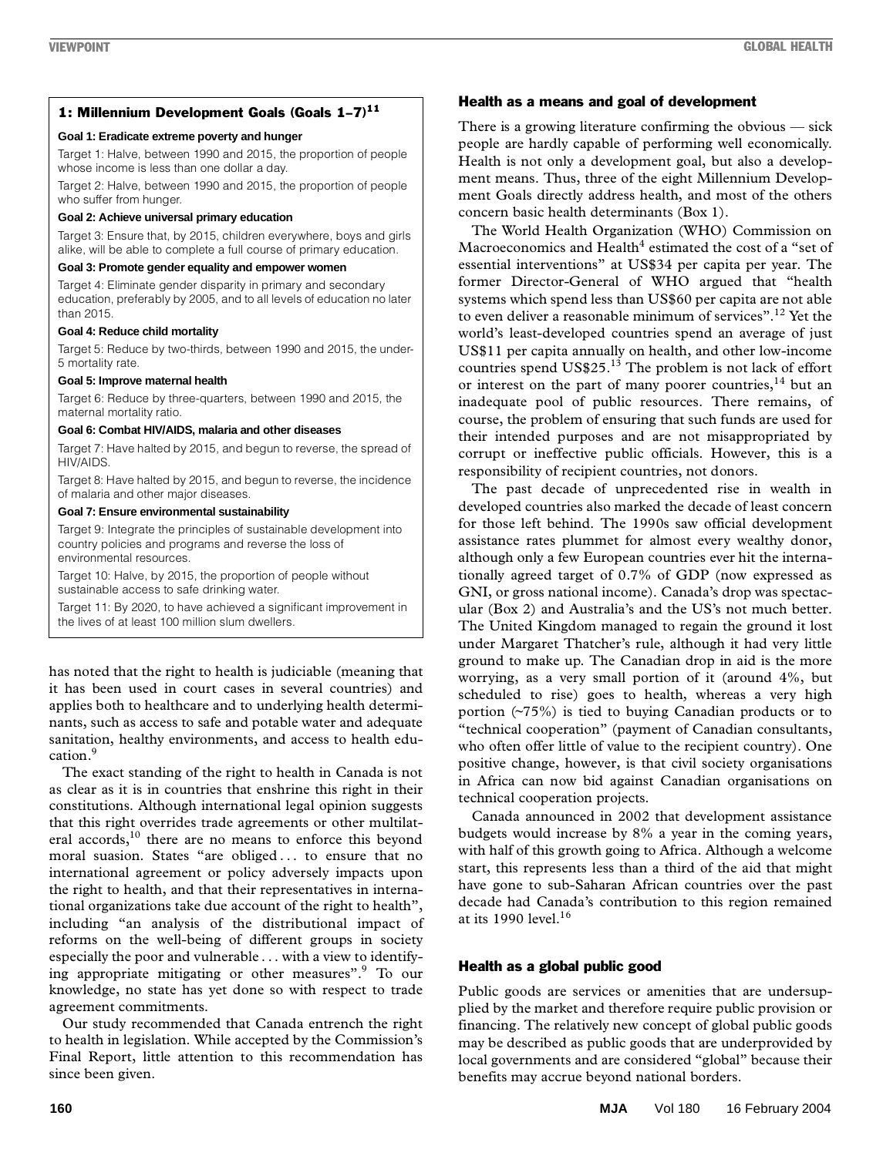### 1: Millennium Development Goals (Goals 1-7)<sup>11</sup>

#### **Goal 1: Eradicate extreme poverty and hunger**

Target 1: Halve, between 1990 and 2015, the proportion of people whose income is less than one dollar a day.

Target 2: Halve, between 1990 and 2015, the proportion of people who suffer from hunger.

#### **Goal 2: Achieve universal primary education**

Target 3: Ensure that, by 2015, children everywhere, boys and girls alike, will be able to complete a full course of primary education.

#### **Goal 3: Promote gender equality and empower women**

Target 4: Eliminate gender disparity in primary and secondary education, preferably by 2005, and to all levels of education no later than 2015.

#### **Goal 4: Reduce child mortality**

Target 5: Reduce by two-thirds, between 1990 and 2015, the under-5 mortality rate.

#### **Goal 5: Improve maternal health**

Target 6: Reduce by three-quarters, between 1990 and 2015, the maternal mortality ratio.

#### **Goal 6: Combat HIV/AIDS, malaria and other diseases**

Target 7: Have halted by 2015, and begun to reverse, the spread of HIV/AIDS.

Target 8: Have halted by 2015, and begun to reverse, the incidence of malaria and other major diseases.

#### **Goal 7: Ensure environmental sustainability**

Target 9: Integrate the principles of sustainable development into country policies and programs and reverse the loss of environmental resources.

Target 10: Halve, by 2015, the proportion of people without sustainable access to safe drinking water.

Target 11: By 2020, to have achieved a significant improvement in the lives of at least 100 million slum dwellers.

has noted that the right to health is judiciable (meaning that it has been used in court cases in several countries) and applies both to healthcare and to underlying health determinants, such as access to safe and potable water and adequate sanitation, healthy environments, and access to health education.9

The exact standing of the right to health in Canada is not as clear as it is in countries that enshrine this right in their constitutions. Although international legal opinion suggests that this right overrides trade agreements or other multilateral accords,<sup>10</sup> there are no means to enforce this beyond moral suasion. States "are obliged . . . to ensure that no international agreement or policy adversely impacts upon the right to health, and that their representatives in international organizations take due account of the right to health", including "an analysis of the distributional impact of reforms on the well-being of different groups in society especially the poor and vulnerable . . . with a view to identifying appropriate mitigating or other measures".9 To our knowledge, no state has yet done so with respect to trade agreement commitments.

Our study recommended that Canada entrench the right to health in legislation. While accepted by the Commission's Final Report, little attention to this recommendation has since been given.

### Health as a means and goal of development

There is a growing literature confirming the obvious — sick people are hardly capable of performing well economically. Health is not only a development goal, but also a development means. Thus, three of the eight Millennium Development Goals directly address health, and most of the others concern basic health determinants (Box 1).

The World Health Organization (WHO) Commission on Macroeconomics and Health $^4$  estimated the cost of a "set of essential interventions" at US\$34 per capita per year. The former Director-General of WHO argued that "health systems which spend less than US\$60 per capita are not able to even deliver a reasonable minimum of services".<sup>12</sup> Yet the world's least-developed countries spend an average of just US\$11 per capita annually on health, and other low-income countries spend  $US$25<sup>13</sup>$  The problem is not lack of effort or interest on the part of many poorer countries, $14$  but an inadequate pool of public resources. There remains, of course, the problem of ensuring that such funds are used for their intended purposes and are not misappropriated by corrupt or ineffective public officials. However, this is a responsibility of recipient countries, not donors.

The past decade of unprecedented rise in wealth in developed countries also marked the decade of least concern for those left behind. The 1990s saw official development assistance rates plummet for almost every wealthy donor, although only a few European countries ever hit the internationally agreed target of 0.7% of GDP (now expressed as GNI, or gross national income). Canada's drop was spectacular (Box 2) and Australia's and the US's not much better. The United Kingdom managed to regain the ground it lost under Margaret Thatcher's rule, although it had very little ground to make up. The Canadian drop in aid is the more worrying, as a very small portion of it (around 4%, but scheduled to rise) goes to health, whereas a very high portion (~75%) is tied to buying Canadian products or to "technical cooperation" (payment of Canadian consultants, who often offer little of value to the recipient country). One positive change, however, is that civil society organisations in Africa can now bid against Canadian organisations on technical cooperation projects.

Canada announced in 2002 that development assistance budgets would increase by 8% a year in the coming years, with half of this growth going to Africa. Although a welcome start, this represents less than a third of the aid that might have gone to sub-Saharan African countries over the past decade had Canada's contribution to this region remained at its 1990 level. $16$ 

## Health as a global public good

Public goods are services or amenities that are undersupplied by the market and therefore require public provision or financing. The relatively new concept of global public goods may be described as public goods that are underprovided by local governments and are considered "global" because their benefits may accrue beyond national borders.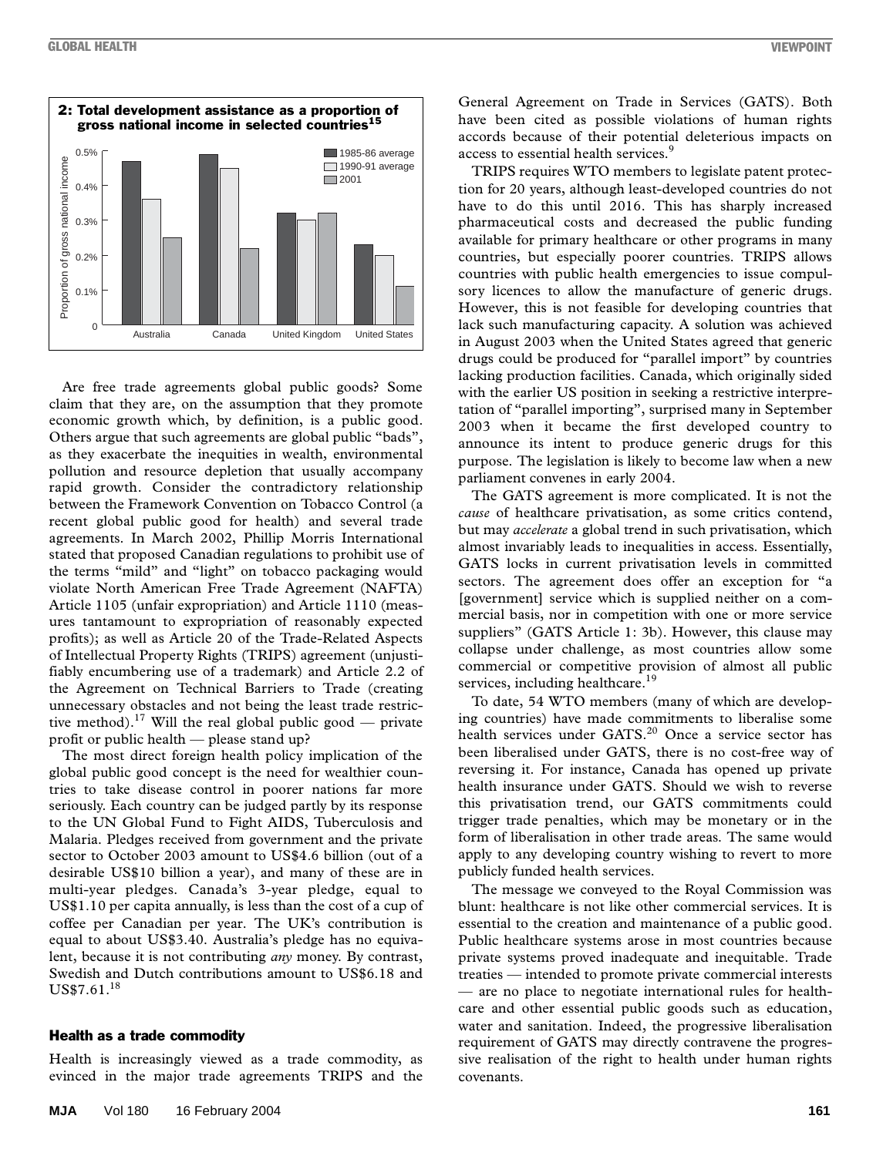

Are free trade agreements global public goods? Some claim that they are, on the assumption that they promote economic growth which, by definition, is a public good. Others argue that such agreements are global public "bads", as they exacerbate the inequities in wealth, environmental pollution and resource depletion that usually accompany rapid growth. Consider the contradictory relationship between the Framework Convention on Tobacco Control (a recent global public good for health) and several trade agreements. In March 2002, Phillip Morris International stated that proposed Canadian regulations to prohibit use of the terms "mild" and "light" on tobacco packaging would violate North American Free Trade Agreement (NAFTA) Article 1105 (unfair expropriation) and Article 1110 (measures tantamount to expropriation of reasonably expected profits); as well as Article 20 of the Trade-Related Aspects of Intellectual Property Rights (TRIPS) agreement (unjustifiably encumbering use of a trademark) and Article 2.2 of the Agreement on Technical Barriers to Trade (creating unnecessary obstacles and not being the least trade restrictive method).<sup>17</sup> Will the real global public good — private profit or public health — please stand up?

The most direct foreign health policy implication of the global public good concept is the need for wealthier countries to take disease control in poorer nations far more seriously. Each country can be judged partly by its response to the UN Global Fund to Fight AIDS, Tuberculosis and Malaria. Pledges received from government and the private sector to October 2003 amount to US\$4.6 billion (out of a desirable US\$10 billion a year), and many of these are in multi-year pledges. Canada's 3-year pledge, equal to US\$1.10 per capita annually, is less than the cost of a cup of coffee per Canadian per year. The UK's contribution is equal to about US\$3.40. Australia's pledge has no equivalent, because it is not contributing *any* money. By contrast, Swedish and Dutch contributions amount to US\$6.18 and US\$7.61.18

#### Health as a trade commodity

Health is increasingly viewed as a trade commodity, as evinced in the major trade agreements TRIPS and the

General Agreement on Trade in Services (GATS). Both have been cited as possible violations of human rights accords because of their potential deleterious impacts on access to essential health services.<sup>9</sup>

TRIPS requires WTO members to legislate patent protection for 20 years, although least-developed countries do not have to do this until 2016. This has sharply increased pharmaceutical costs and decreased the public funding available for primary healthcare or other programs in many countries, but especially poorer countries. TRIPS allows countries with public health emergencies to issue compulsory licences to allow the manufacture of generic drugs. However, this is not feasible for developing countries that lack such manufacturing capacity. A solution was achieved in August 2003 when the United States agreed that generic drugs could be produced for "parallel import" by countries lacking production facilities. Canada, which originally sided with the earlier US position in seeking a restrictive interpretation of "parallel importing", surprised many in September 2003 when it became the first developed country to announce its intent to produce generic drugs for this purpose. The legislation is likely to become law when a new parliament convenes in early 2004.

The GATS agreement is more complicated. It is not the *cause* of healthcare privatisation, as some critics contend, but may *accelerate* a global trend in such privatisation, which almost invariably leads to inequalities in access. Essentially, GATS locks in current privatisation levels in committed sectors. The agreement does offer an exception for "a [government] service which is supplied neither on a commercial basis, nor in competition with one or more service suppliers" (GATS Article 1: 3b). However, this clause may collapse under challenge, as most countries allow some commercial or competitive provision of almost all public services, including healthcare.<sup>19</sup>

To date, 54 WTO members (many of which are developing countries) have made commitments to liberalise some health services under GATS.<sup>20</sup> Once a service sector has been liberalised under GATS, there is no cost-free way of reversing it. For instance, Canada has opened up private health insurance under GATS. Should we wish to reverse this privatisation trend, our GATS commitments could trigger trade penalties, which may be monetary or in the form of liberalisation in other trade areas. The same would apply to any developing country wishing to revert to more publicly funded health services.

The message we conveyed to the Royal Commission was blunt: healthcare is not like other commercial services. It is essential to the creation and maintenance of a public good. Public healthcare systems arose in most countries because private systems proved inadequate and inequitable. Trade treaties — intended to promote private commercial interests — are no place to negotiate international rules for healthcare and other essential public goods such as education, water and sanitation. Indeed, the progressive liberalisation requirement of GATS may directly contravene the progressive realisation of the right to health under human rights covenants.